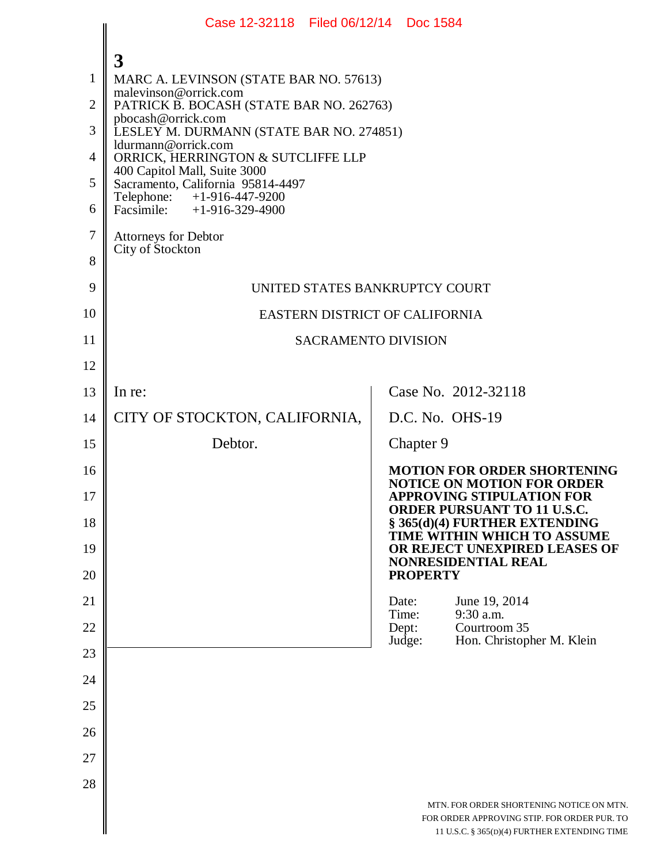|                | Case 12-32118 Filed 06/12/14 Doc 1584                             |                                                                                                                                         |  |  |  |  |
|----------------|-------------------------------------------------------------------|-----------------------------------------------------------------------------------------------------------------------------------------|--|--|--|--|
|                | 3                                                                 |                                                                                                                                         |  |  |  |  |
| 1              | MARC A. LEVINSON (STATE BAR NO. 57613)                            |                                                                                                                                         |  |  |  |  |
| $\overline{2}$ | malevinson@orrick.com<br>PATRICK B. BOCASH (STATE BAR NO. 262763) |                                                                                                                                         |  |  |  |  |
| 3              | pbocash@orrick.com<br>LESLEY M. DURMANN (STATE BAR NO. 274851)    |                                                                                                                                         |  |  |  |  |
| 4              | ldurmann@orrick.com<br>ORRICK, HERRINGTON & SUTCLIFFE LLP         |                                                                                                                                         |  |  |  |  |
| 5              | 400 Capitol Mall, Suite 3000<br>Sacramento, California 95814-4497 |                                                                                                                                         |  |  |  |  |
| 6              | Telephone: +1-916-447-9200<br>Facsimile: +1-916-329-4900          |                                                                                                                                         |  |  |  |  |
| 7              | <b>Attorneys for Debtor</b>                                       |                                                                                                                                         |  |  |  |  |
| 8              | City of Stockton                                                  |                                                                                                                                         |  |  |  |  |
| 9              | UNITED STATES BANKRUPTCY COURT                                    |                                                                                                                                         |  |  |  |  |
| 10             | EASTERN DISTRICT OF CALIFORNIA                                    |                                                                                                                                         |  |  |  |  |
| 11             | SACRAMENTO DIVISION                                               |                                                                                                                                         |  |  |  |  |
| 12             |                                                                   |                                                                                                                                         |  |  |  |  |
| 13             | In re:                                                            | Case No. 2012-32118                                                                                                                     |  |  |  |  |
| 14             | CITY OF STOCKTON, CALIFORNIA,                                     | D.C. No. OHS-19                                                                                                                         |  |  |  |  |
| 15             | Debtor.                                                           | Chapter 9                                                                                                                               |  |  |  |  |
| 16             |                                                                   | <b>MOTION FOR ORDER SHORTENING</b><br><b>NOTICE ON MOTION FOR ORDER</b>                                                                 |  |  |  |  |
| 17             |                                                                   | <b>APPROVING STIPULATION FOR</b><br><b>ORDER PURSUANT TO 11 U.S.C.</b>                                                                  |  |  |  |  |
| 18             |                                                                   | $\S$ 365(d)(4) FURTHER EXTENDING<br>TIME WITHIN WHICH TO ASSUME                                                                         |  |  |  |  |
| 19<br>20       |                                                                   | OR REJECT UNEXPIRED LEASES OF<br><b>NONRESIDENTIAL REAL</b><br><b>PROPERTY</b>                                                          |  |  |  |  |
| 21             |                                                                   | June 19, 2014<br>Date:                                                                                                                  |  |  |  |  |
| 22             |                                                                   | 9:30 a.m.<br>Time:<br>Dept:<br>Courtroom 35                                                                                             |  |  |  |  |
| 23             |                                                                   | Judge:<br>Hon. Christopher M. Klein                                                                                                     |  |  |  |  |
| 24             |                                                                   |                                                                                                                                         |  |  |  |  |
| 25             |                                                                   |                                                                                                                                         |  |  |  |  |
| 26             |                                                                   |                                                                                                                                         |  |  |  |  |
| 27             |                                                                   |                                                                                                                                         |  |  |  |  |
| 28             |                                                                   |                                                                                                                                         |  |  |  |  |
|                |                                                                   | MTN. FOR ORDER SHORTENING NOTICE ON MTN.<br>FOR ORDER APPROVING STIP. FOR ORDER PUR. TO<br>11 U.S.C. § 365(D)(4) FURTHER EXTENDING TIME |  |  |  |  |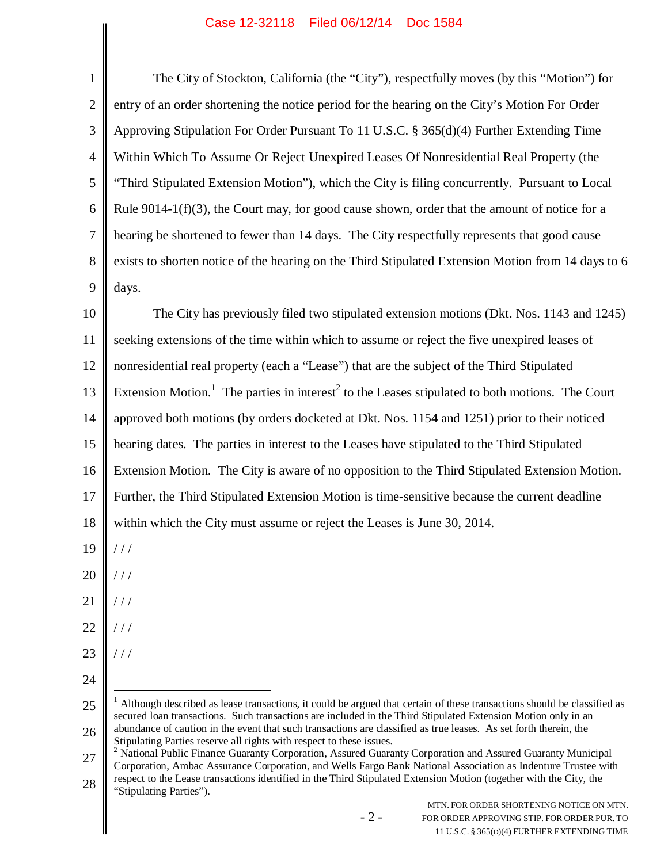## Case 12-32118 Filed 06/12/14 Doc 1584

| $\mathbf{1}$   | The City of Stockton, California (the "City"), respectfully moves (by this "Motion") for                                                                                                                                                                                                                        |  |  |
|----------------|-----------------------------------------------------------------------------------------------------------------------------------------------------------------------------------------------------------------------------------------------------------------------------------------------------------------|--|--|
| $\overline{2}$ | entry of an order shortening the notice period for the hearing on the City's Motion For Order                                                                                                                                                                                                                   |  |  |
| 3              | Approving Stipulation For Order Pursuant To 11 U.S.C. § 365(d)(4) Further Extending Time                                                                                                                                                                                                                        |  |  |
| $\overline{4}$ | Within Which To Assume Or Reject Unexpired Leases Of Nonresidential Real Property (the                                                                                                                                                                                                                          |  |  |
| 5              | "Third Stipulated Extension Motion"), which the City is filing concurrently. Pursuant to Local                                                                                                                                                                                                                  |  |  |
| 6              | Rule 9014-1( $f$ )(3), the Court may, for good cause shown, order that the amount of notice for a                                                                                                                                                                                                               |  |  |
| $\tau$         | hearing be shortened to fewer than 14 days. The City respectfully represents that good cause                                                                                                                                                                                                                    |  |  |
| 8              | exists to shorten notice of the hearing on the Third Stipulated Extension Motion from 14 days to 6                                                                                                                                                                                                              |  |  |
| 9              | days.                                                                                                                                                                                                                                                                                                           |  |  |
| 10             | The City has previously filed two stipulated extension motions (Dkt. Nos. 1143 and 1245)                                                                                                                                                                                                                        |  |  |
| 11             | seeking extensions of the time within which to assume or reject the five unexpired leases of                                                                                                                                                                                                                    |  |  |
| 12             | nonresidential real property (each a "Lease") that are the subject of the Third Stipulated                                                                                                                                                                                                                      |  |  |
| 13             | Extension Motion. <sup>1</sup> The parties in interest <sup>2</sup> to the Leases stipulated to both motions. The Court                                                                                                                                                                                         |  |  |
| 14             | approved both motions (by orders docketed at Dkt. Nos. 1154 and 1251) prior to their noticed                                                                                                                                                                                                                    |  |  |
| 15             | hearing dates. The parties in interest to the Leases have stipulated to the Third Stipulated                                                                                                                                                                                                                    |  |  |
| 16             | Extension Motion. The City is aware of no opposition to the Third Stipulated Extension Motion.                                                                                                                                                                                                                  |  |  |
| 17             | Further, the Third Stipulated Extension Motion is time-sensitive because the current deadline                                                                                                                                                                                                                   |  |  |
| 18             | within which the City must assume or reject the Leases is June 30, 2014.                                                                                                                                                                                                                                        |  |  |
| 19             | $\frac{1}{2}$                                                                                                                                                                                                                                                                                                   |  |  |
| 20             | //                                                                                                                                                                                                                                                                                                              |  |  |
| 21             | //                                                                                                                                                                                                                                                                                                              |  |  |
| 22             | //                                                                                                                                                                                                                                                                                                              |  |  |
| 23             | //                                                                                                                                                                                                                                                                                                              |  |  |
| 24             |                                                                                                                                                                                                                                                                                                                 |  |  |
| 25             | $1$ Although described as lease transactions, it could be argued that certain of these transactions should be classified as                                                                                                                                                                                     |  |  |
| 26             | secured loan transactions. Such transactions are included in the Third Stipulated Extension Motion only in an<br>abundance of caution in the event that such transactions are classified as true leases. As set forth therein, the                                                                              |  |  |
| 27             | Stipulating Parties reserve all rights with respect to these issues.<br><sup>2</sup> National Public Finance Guaranty Corporation, Assured Guaranty Corporation and Assured Guaranty Municipal<br>Corporation, Ambac Assurance Corporation, and Wells Fargo Bank National Association as Indenture Trustee with |  |  |
| 28             | respect to the Lease transactions identified in the Third Stipulated Extension Motion (together with the City, the<br>"Stipulating Parties").                                                                                                                                                                   |  |  |
|                | MTN. FOR ORDER SHORTENING NOTICE ON MTN.<br>$-2-$<br>FOR ORDER APPROVING STIP. FOR ORDER PUR. TO<br>11 U.S.C. § 365(D)(4) FURTHER EXTENDING TIME                                                                                                                                                                |  |  |